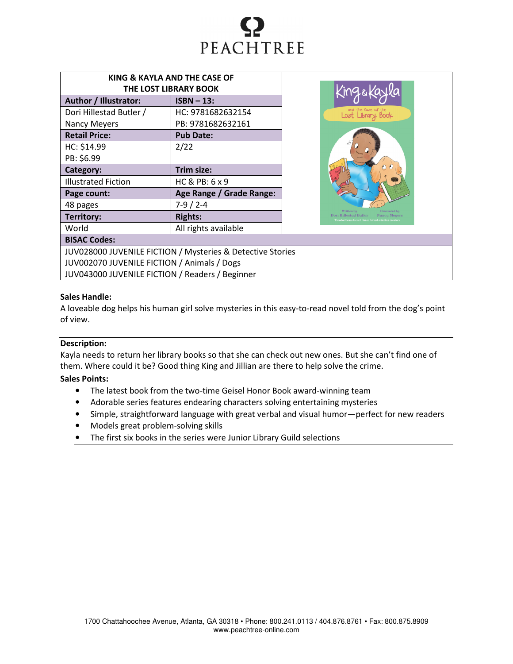

| KING & KAYLA AND THE CASE OF |                          |  |  |  |
|------------------------------|--------------------------|--|--|--|
| THE LOST LIBRARY BOOK        |                          |  |  |  |
| Author / Illustrator:        | $ISBN - 13$ :            |  |  |  |
| Dori Hillestad Butler /      | HC: 9781682632154        |  |  |  |
| <b>Nancy Meyers</b>          | PB: 9781682632161        |  |  |  |
| <b>Retail Price:</b>         | <b>Pub Date:</b>         |  |  |  |
| HC: \$14.99                  | 2/22                     |  |  |  |
| PB: \$6.99                   |                          |  |  |  |
| Category:                    | Trim size:               |  |  |  |
| <b>Illustrated Fiction</b>   | HC & PB: 6 x 9           |  |  |  |
| Page count:                  | Age Range / Grade Range: |  |  |  |
| 48 pages                     | $7-9/2-4$                |  |  |  |
| Territory:                   | <b>Rights:</b>           |  |  |  |
| World                        | All rights available     |  |  |  |
| DICACCada                    |                          |  |  |  |



# BISAC Codes:

JUV028000 JUVENILE FICTION / Mysteries & Detective Stories JUV002070 JUVENILE FICTION / Animals / Dogs JUV043000 JUVENILE FICTION / Readers / Beginner

## Sales Handle:

A loveable dog helps his human girl solve mysteries in this easy-to-read novel told from the dog's point of view.

### Description:

Kayla needs to return her library books so that she can check out new ones. But she can't find one of them. Where could it be? Good thing King and Jillian are there to help solve the crime.

## Sales Points:

- The latest book from the two-time Geisel Honor Book award-winning team
- Adorable series features endearing characters solving entertaining mysteries
- Simple, straightforward language with great verbal and visual humor—perfect for new readers
- Models great problem-solving skills
- The first six books in the series were Junior Library Guild selections